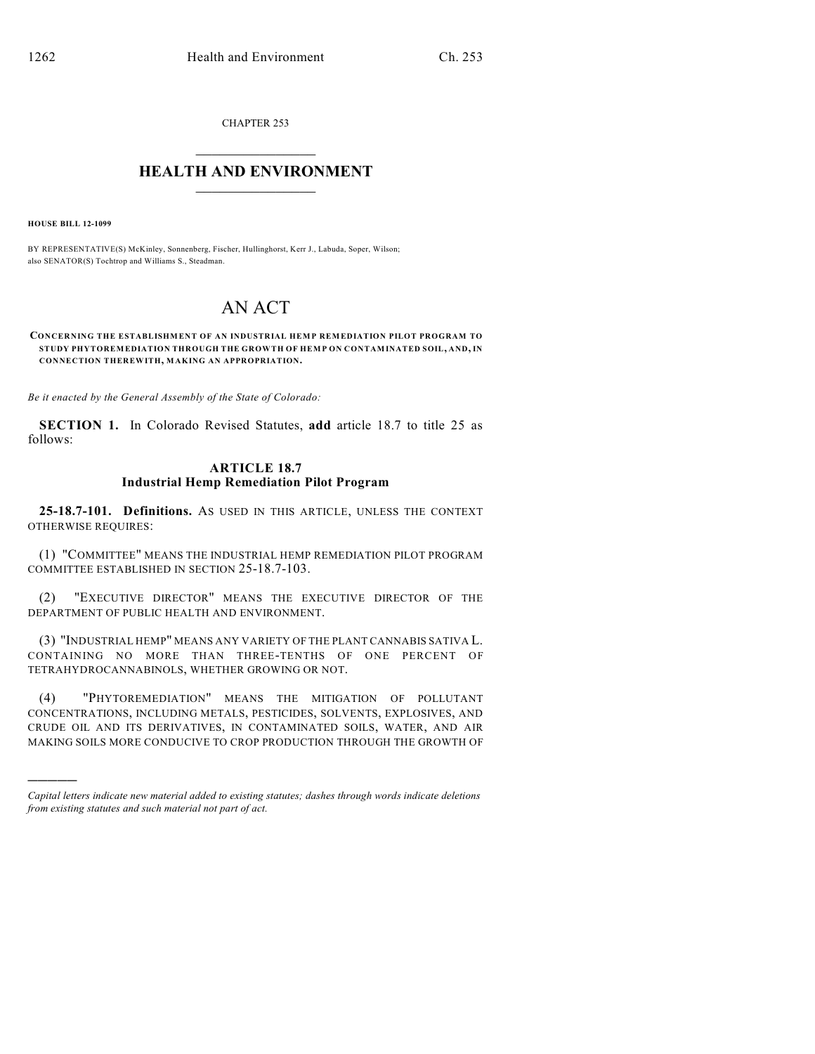CHAPTER 253  $\mathcal{L}_\text{max}$  . The set of the set of the set of the set of the set of the set of the set of the set of the set of the set of the set of the set of the set of the set of the set of the set of the set of the set of the set

## **HEALTH AND ENVIRONMENT**  $\_$

**HOUSE BILL 12-1099**

)))))

BY REPRESENTATIVE(S) McKinley, Sonnenberg, Fischer, Hullinghorst, Kerr J., Labuda, Soper, Wilson; also SENATOR(S) Tochtrop and Williams S., Steadman.

## AN ACT

**CONCERNING THE ESTABLISHMENT OF AN INDUSTRIAL HEMP REMEDIATION PILOT PROGRAM TO STUDY PHYTOREMEDIATION THROUGH THE GROWTH OF HEMP ON CONTAMINATED SOIL, AND, IN CONNECTION THEREWITH, MAKING AN APPROPRIATION.**

*Be it enacted by the General Assembly of the State of Colorado:*

**SECTION 1.** In Colorado Revised Statutes, **add** article 18.7 to title 25 as follows:

## **ARTICLE 18.7 Industrial Hemp Remediation Pilot Program**

**25-18.7-101. Definitions.** AS USED IN THIS ARTICLE, UNLESS THE CONTEXT OTHERWISE REQUIRES:

(1) "COMMITTEE" MEANS THE INDUSTRIAL HEMP REMEDIATION PILOT PROGRAM COMMITTEE ESTABLISHED IN SECTION 25-18.7-103.

(2) "EXECUTIVE DIRECTOR" MEANS THE EXECUTIVE DIRECTOR OF THE DEPARTMENT OF PUBLIC HEALTH AND ENVIRONMENT.

(3) "INDUSTRIAL HEMP" MEANS ANY VARIETY OF THE PLANT CANNABIS SATIVA L. CONTAINING NO MORE THAN THREE-TENTHS OF ONE PERCENT OF TETRAHYDROCANNABINOLS, WHETHER GROWING OR NOT.

(4) "PHYTOREMEDIATION" MEANS THE MITIGATION OF POLLUTANT CONCENTRATIONS, INCLUDING METALS, PESTICIDES, SOLVENTS, EXPLOSIVES, AND CRUDE OIL AND ITS DERIVATIVES, IN CONTAMINATED SOILS, WATER, AND AIR MAKING SOILS MORE CONDUCIVE TO CROP PRODUCTION THROUGH THE GROWTH OF

*Capital letters indicate new material added to existing statutes; dashes through words indicate deletions from existing statutes and such material not part of act.*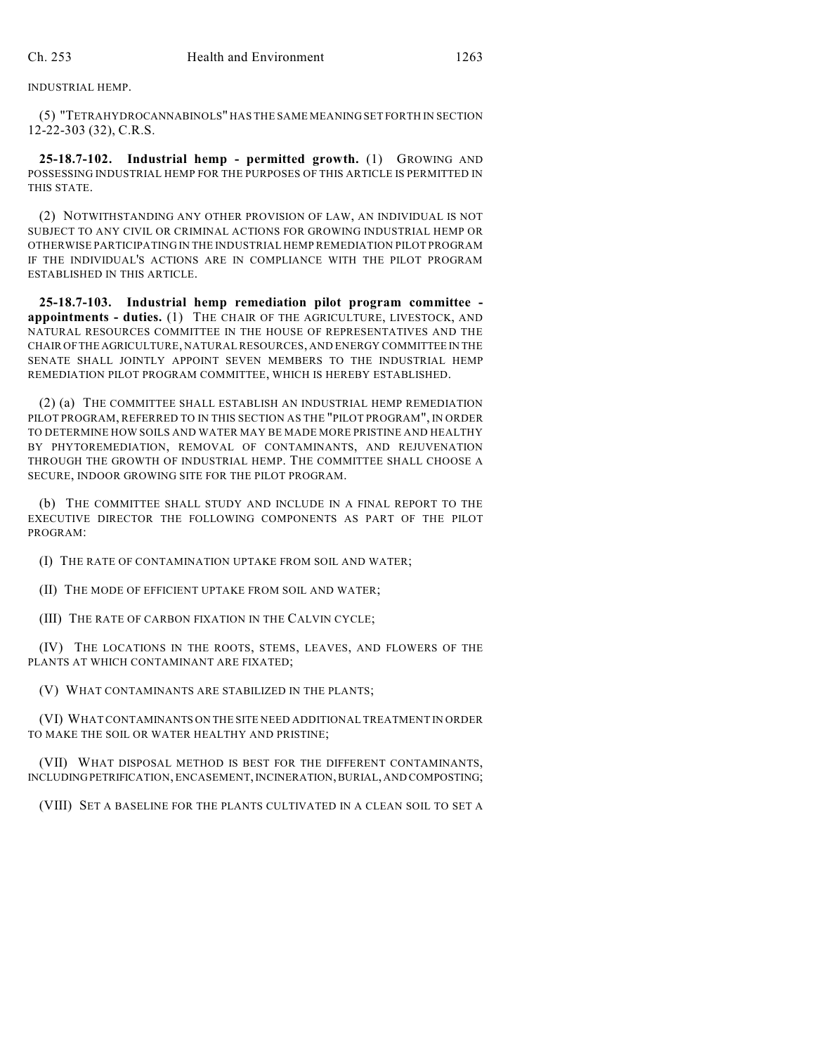INDUSTRIAL HEMP.

(5) "TETRAHYDROCANNABINOLS" HAS THE SAME MEANING SET FORTH IN SECTION 12-22-303 (32), C.R.S.

**25-18.7-102. Industrial hemp - permitted growth.** (1) GROWING AND POSSESSING INDUSTRIAL HEMP FOR THE PURPOSES OF THIS ARTICLE IS PERMITTED IN THIS STATE.

(2) NOTWITHSTANDING ANY OTHER PROVISION OF LAW, AN INDIVIDUAL IS NOT SUBJECT TO ANY CIVIL OR CRIMINAL ACTIONS FOR GROWING INDUSTRIAL HEMP OR OTHERWISE PARTICIPATING IN THE INDUSTRIAL HEMP REMEDIATION PILOT PROGRAM IF THE INDIVIDUAL'S ACTIONS ARE IN COMPLIANCE WITH THE PILOT PROGRAM ESTABLISHED IN THIS ARTICLE.

**25-18.7-103. Industrial hemp remediation pilot program committee appointments - duties.** (1) THE CHAIR OF THE AGRICULTURE, LIVESTOCK, AND NATURAL RESOURCES COMMITTEE IN THE HOUSE OF REPRESENTATIVES AND THE CHAIR OFTHE AGRICULTURE, NATURAL RESOURCES, AND ENERGY COMMITTEE IN THE SENATE SHALL JOINTLY APPOINT SEVEN MEMBERS TO THE INDUSTRIAL HEMP REMEDIATION PILOT PROGRAM COMMITTEE, WHICH IS HEREBY ESTABLISHED.

(2) (a) THE COMMITTEE SHALL ESTABLISH AN INDUSTRIAL HEMP REMEDIATION PILOT PROGRAM, REFERRED TO IN THIS SECTION AS THE "PILOT PROGRAM", IN ORDER TO DETERMINE HOW SOILS AND WATER MAY BE MADE MORE PRISTINE AND HEALTHY BY PHYTOREMEDIATION, REMOVAL OF CONTAMINANTS, AND REJUVENATION THROUGH THE GROWTH OF INDUSTRIAL HEMP. THE COMMITTEE SHALL CHOOSE A SECURE, INDOOR GROWING SITE FOR THE PILOT PROGRAM.

(b) THE COMMITTEE SHALL STUDY AND INCLUDE IN A FINAL REPORT TO THE EXECUTIVE DIRECTOR THE FOLLOWING COMPONENTS AS PART OF THE PILOT PROGRAM:

(I) THE RATE OF CONTAMINATION UPTAKE FROM SOIL AND WATER;

(II) THE MODE OF EFFICIENT UPTAKE FROM SOIL AND WATER;

(III) THE RATE OF CARBON FIXATION IN THE CALVIN CYCLE;

(IV) THE LOCATIONS IN THE ROOTS, STEMS, LEAVES, AND FLOWERS OF THE PLANTS AT WHICH CONTAMINANT ARE FIXATED;

(V) WHAT CONTAMINANTS ARE STABILIZED IN THE PLANTS;

(VI) WHAT CONTAMINANTS ON THE SITE NEED ADDITIONAL TREATMENT IN ORDER TO MAKE THE SOIL OR WATER HEALTHY AND PRISTINE;

(VII) WHAT DISPOSAL METHOD IS BEST FOR THE DIFFERENT CONTAMINANTS, INCLUDINGPETRIFICATION, ENCASEMENT,INCINERATION,BURIAL, AND COMPOSTING;

(VIII) SET A BASELINE FOR THE PLANTS CULTIVATED IN A CLEAN SOIL TO SET A